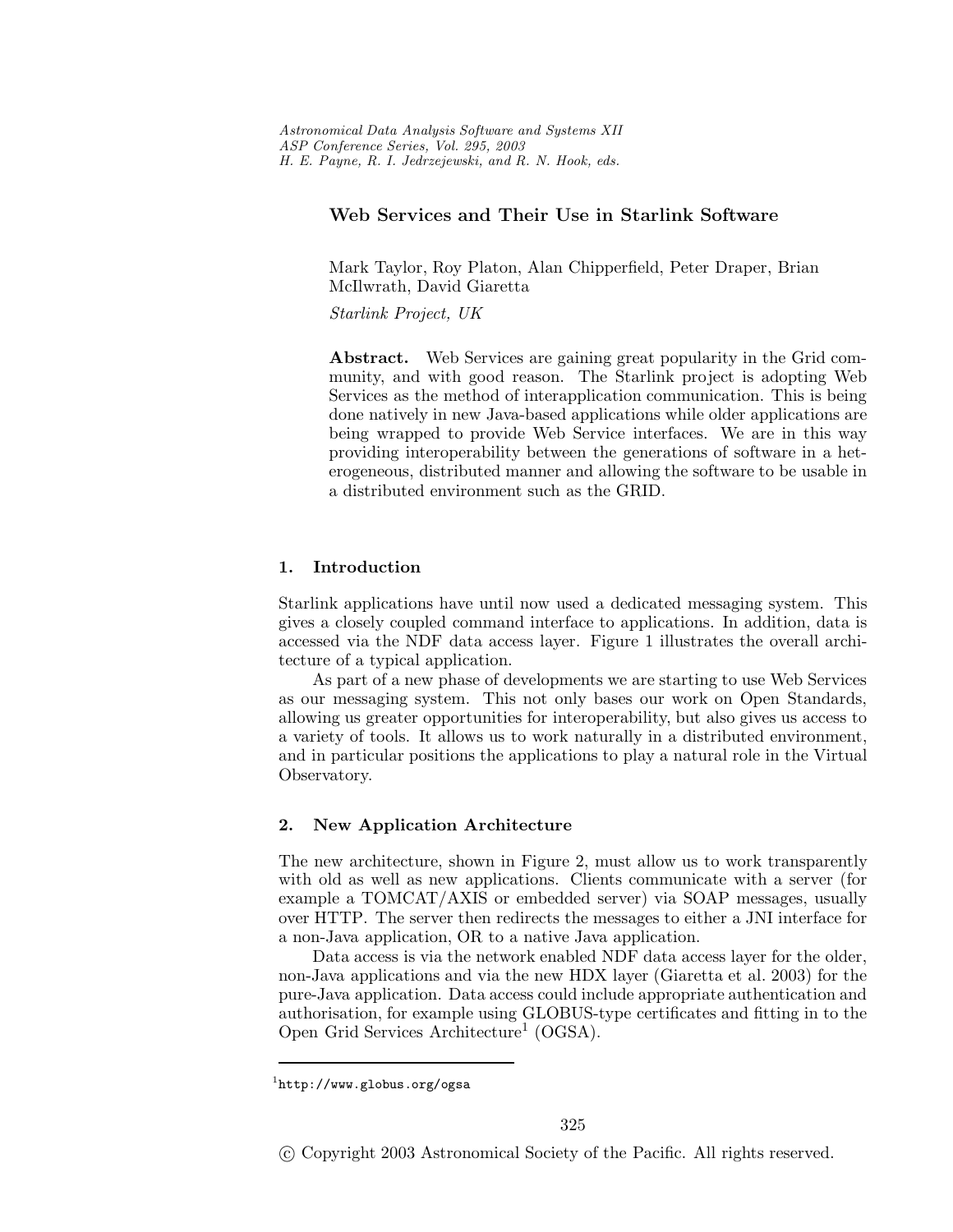# **Web Services and Their Use in Starlink Software**

Mark Taylor, Roy Platon, Alan Chipperfield, Peter Draper, Brian McIlwrath, David Giaretta

*Starlink Project, UK*

**Abstract.** Web Services are gaining great popularity in the Grid community, and with good reason. The Starlink project is adopting Web Services as the method of interapplication communication. This is being done natively in new Java-based applications while older applications are being wrapped to provide Web Service interfaces. We are in this way providing interoperability between the generations of software in a heterogeneous, distributed manner and allowing the software to be usable in a distributed environment such as the GRID.

## **1. Introduction**

Starlink applications have until now used a dedicated messaging system. This gives a closely coupled command interface to applications. In addition, data is accessed via the NDF data access layer. Figure 1 illustrates the overall architecture of a typical application.

As part of a new phase of developments we are starting to use Web Services as our messaging system. This not only bases our work on Open Standards, allowing us greater opportunities for interoperability, but also gives us access to a variety of tools. It allows us to work naturally in a distributed environment, and in particular positions the applications to play a natural role in the Virtual Observatory.

#### **2. New Application Architecture**

The new architecture, shown in Figure 2, must allow us to work transparently with old as well as new applications. Clients communicate with a server (for example a TOMCAT/AXIS or embedded server) via SOAP messages, usually over HTTP. The server then redirects the messages to either a JNI interface for a non-Java application, OR to a native Java application.

Data access is via the network enabled NDF data access layer for the older, non-Java applicationsand via the new HDX layer (Giaretta et al. 2003) for the pure-Java application. Data access could include appropriate authentication and authorisation, for example using GLOBUS-type certificates and fitting in to the Open Grid Services Architecture<sup>1</sup> (OGSA).

 $1$ http://www.globus.org/ogsa

c Copyright 2003 Astronomical Society of the Pacific. All rights reserved.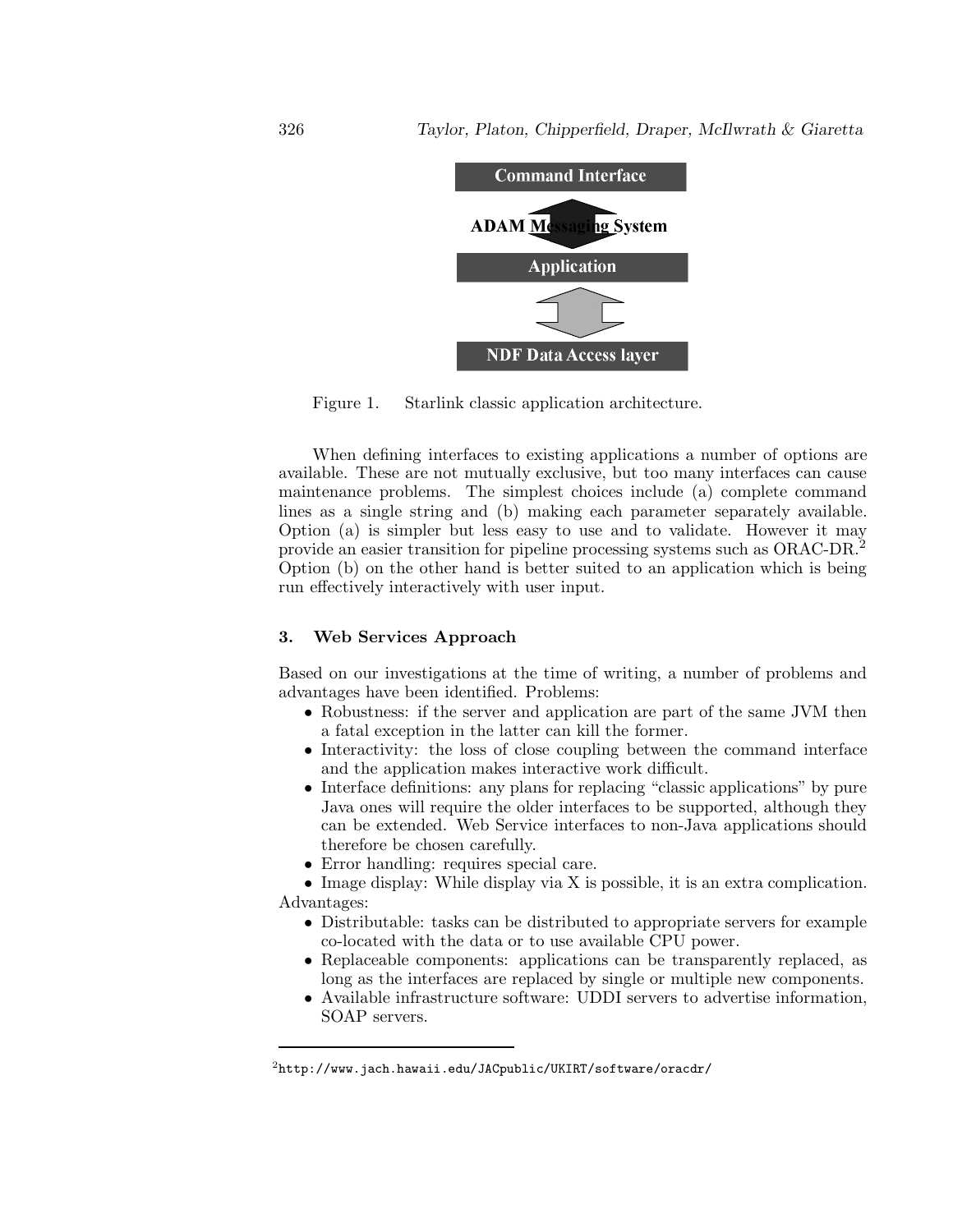

Figure 1. Starlink classic application architecture.

When defining interfaces to existing applications a number of options are available. These are not mutually exclusive, but too many interfaces can cause maintenance problems. The simplest choices include (a) complete command lines as a single string and (b) making each parameter separately available. Option (a) is simpler but less easy to use and to validate. However it may provide an easier transition for pipeline processing systems such as ORAC-DR.<sup>2</sup> Option (b) on the other hand isbetter suited to an application which isbeing run effectively interactively with user input.

#### **3. Web Services Approach**

Based on our investigations at the time of writing, a number of problems and advantages have been identified. Problems:

- Robustness: if the server and application are part of the same JVM then a fatal exception in the latter can kill the former.
- Interactivity: the loss of close coupling between the command interface and the application makes interactive work difficult.
- Interface definitions: any plans for replacing "classic applications" by pure Java ones will require the older interfaces to be supported, although they can be extended. Web Service interfaces to non-Java applications should therefore be chosen carefully.
- Error handling: requires special care.

• Image display: While display via X is possible, it is an extra complication. Advantages:

- Distributable: tasks can be distributed to appropriate servers for example co-located with the data or to use available CPU power.
- Replaceable components: applications can be transparently replaced, as long as the interfaces are replaced by single or multiple new components.
- Available infrastructure software: UDDI servers to advertise information, SOAP servers.

 $^{2}$ http://www.jach.hawaii.edu/JACpublic/UKIRT/software/oracdr/